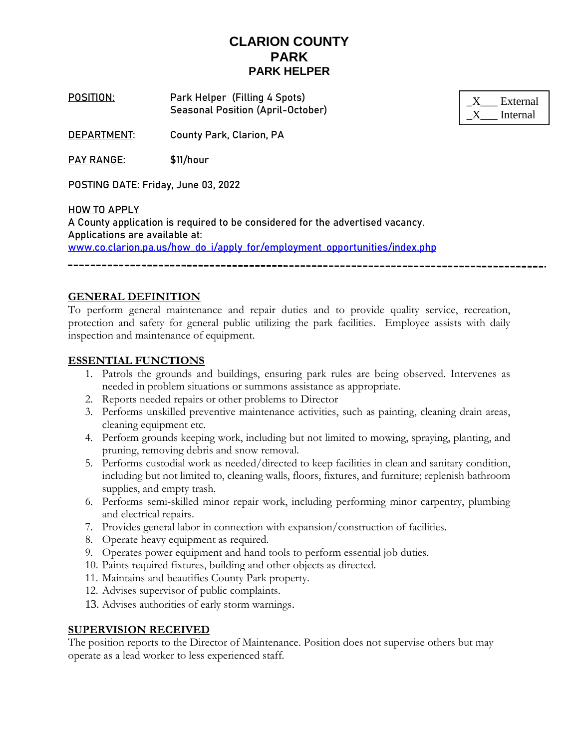# **CLARION COUNTY PARK PARK HELPER**

**POSITION**: **Park Helper (Filling 4 Spots)** Seasonal Position (April-October)

| External |
|----------|
| Internal |

**DEPARTMENT**: County Park, Clarion, PA

**PAY RANGE**: \$11/hour

**POSTING DATE:** Friday, June 03, 2022

**HOW TO APPLY** A County application is required to be considered for the advertised vacancy. Applications are available at: [www.co.clarion.pa.us/how\\_do\\_i/apply\\_for/employment\\_opportunities/index.php](http://www.co.clarion.pa.us/how_do_i/apply_for/employment_opportunities/index.php)

----------------------------

## **GENERAL DEFINITION**

To perform general maintenance and repair duties and to provide quality service, recreation, protection and safety for general public utilizing the park facilities. Employee assists with daily inspection and maintenance of equipment.

### **ESSENTIAL FUNCTIONS**

- 1. Patrols the grounds and buildings, ensuring park rules are being observed. Intervenes as needed in problem situations or summons assistance as appropriate.
- 2. Reports needed repairs or other problems to Director
- 3. Performs unskilled preventive maintenance activities, such as painting, cleaning drain areas, cleaning equipment etc.
- 4. Perform grounds keeping work, including but not limited to mowing, spraying, planting, and pruning, removing debris and snow removal.
- 5. Performs custodial work as needed/directed to keep facilities in clean and sanitary condition, including but not limited to, cleaning walls, floors, fixtures, and furniture; replenish bathroom supplies, and empty trash.
- 6. Performs semi-skilled minor repair work, including performing minor carpentry, plumbing and electrical repairs.
- 7. Provides general labor in connection with expansion/construction of facilities.
- 8. Operate heavy equipment as required.
- 9. Operates power equipment and hand tools to perform essential job duties.
- 10. Paints required fixtures, building and other objects as directed.
- 11. Maintains and beautifies County Park property.
- 12. Advises supervisor of public complaints.
- 13. Advises authorities of early storm warnings.

#### **SUPERVISION RECEIVED**

The position reports to the Director of Maintenance. Position does not supervise others but may operate as a lead worker to less experienced staff.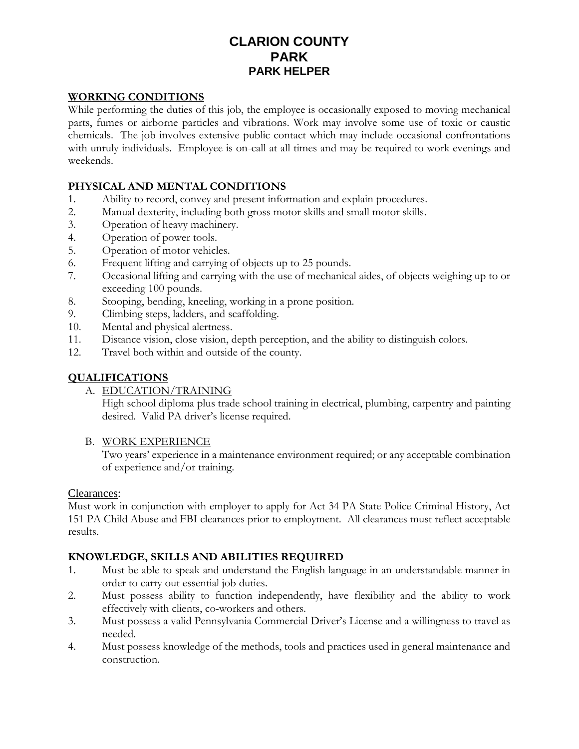# **CLARION COUNTY PARK PARK HELPER**

## **WORKING CONDITIONS**

While performing the duties of this job, the employee is occasionally exposed to moving mechanical parts, fumes or airborne particles and vibrations. Work may involve some use of toxic or caustic chemicals. The job involves extensive public contact which may include occasional confrontations with unruly individuals. Employee is on-call at all times and may be required to work evenings and weekends.

## **PHYSICAL AND MENTAL CONDITIONS**

- 1. Ability to record, convey and present information and explain procedures.
- 2. Manual dexterity, including both gross motor skills and small motor skills.
- 3. Operation of heavy machinery.
- 4. Operation of power tools.
- 5. Operation of motor vehicles.
- 6. Frequent lifting and carrying of objects up to 25 pounds.
- 7. Occasional lifting and carrying with the use of mechanical aides, of objects weighing up to or exceeding 100 pounds.
- 8. Stooping, bending, kneeling, working in a prone position.
- 9. Climbing steps, ladders, and scaffolding.
- 10. Mental and physical alertness.
- 11. Distance vision, close vision, depth perception, and the ability to distinguish colors.
- 12. Travel both within and outside of the county.

## **QUALIFICATIONS**

### A. EDUCATION/TRAINING

High school diploma plus trade school training in electrical, plumbing, carpentry and painting desired. Valid PA driver's license required.

### B. WORK EXPERIENCE

Two years' experience in a maintenance environment required; or any acceptable combination of experience and/or training.

### Clearances:

Must work in conjunction with employer to apply for Act 34 PA State Police Criminal History, Act 151 PA Child Abuse and FBI clearances prior to employment. All clearances must reflect acceptable results.

## **KNOWLEDGE, SKILLS AND ABILITIES REQUIRED**

- 1. Must be able to speak and understand the English language in an understandable manner in order to carry out essential job duties.
- 2. Must possess ability to function independently, have flexibility and the ability to work effectively with clients, co-workers and others.
- 3. Must possess a valid Pennsylvania Commercial Driver's License and a willingness to travel as needed.
- 4. Must possess knowledge of the methods, tools and practices used in general maintenance and construction.